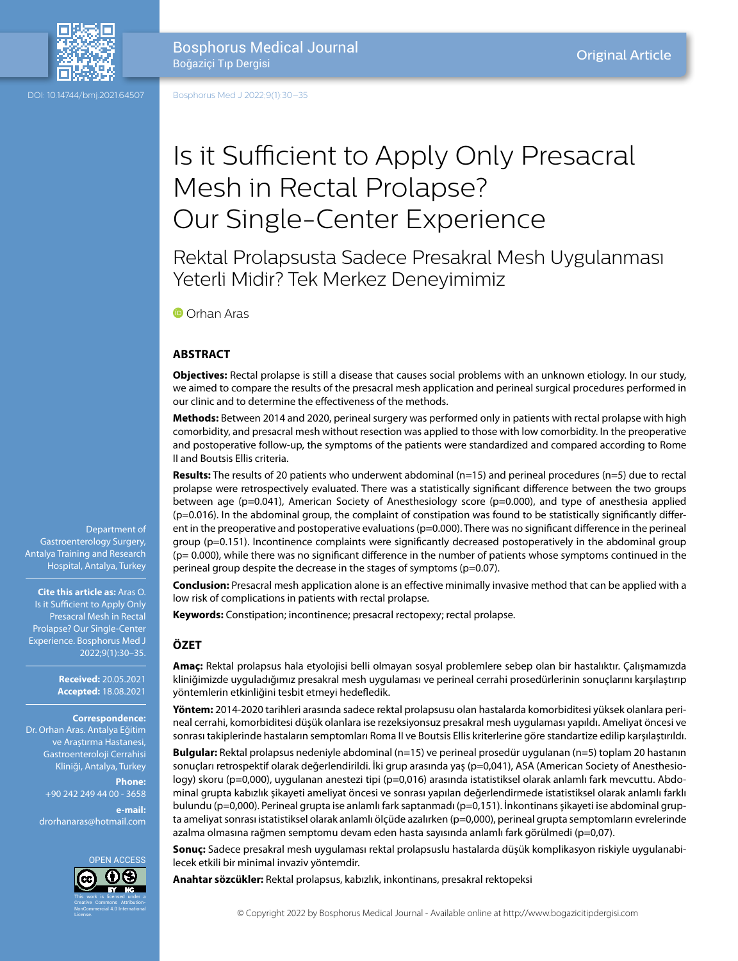

Bosphorus Medical Journal Boğaziçi Tıp Dergisi

DOI: 10.14744/bmj.2021.64507

Bosphorus Med J 2022;9(1):30–35

# Is it Sufficient to Apply Only Presacral Mesh in Rectal Prolapse? Our Single-Center Experience

Rektal Prolapsusta Sadece Presakral Mesh Uygulanması Yeterli Midir? Tek Merkez Deneyimimiz

**O**Orhan Aras

### **ABSTRACT**

**Objectives:** Rectal prolapse is still a disease that causes social problems with an unknown etiology. In our study, we aimed to compare the results of the presacral mesh application and perineal surgical procedures performed in our clinic and to determine the effectiveness of the methods.

**Methods:** Between 2014 and 2020, perineal surgery was performed only in patients with rectal prolapse with high comorbidity, and presacral mesh without resection was applied to those with low comorbidity. In the preoperative and postoperative follow-up, the symptoms of the patients were standardized and compared according to Rome II and Boutsis Ellis criteria.

**Results:** The results of 20 patients who underwent abdominal (n=15) and perineal procedures (n=5) due to rectal prolapse were retrospectively evaluated. There was a statistically significant difference between the two groups between age (p=0.041), American Society of Anesthesiology score (p=0.000), and type of anesthesia applied (p=0.016). In the abdominal group, the complaint of constipation was found to be statistically significantly different in the preoperative and postoperative evaluations (p=0.000). There was no significant difference in the perineal group (p=0.151). Incontinence complaints were significantly decreased postoperatively in the abdominal group  $(p= 0.000)$ , while there was no significant difference in the number of patients whose symptoms continued in the perineal group despite the decrease in the stages of symptoms (p=0.07).

**Conclusion:** Presacral mesh application alone is an effective minimally invasive method that can be applied with a low risk of complications in patients with rectal prolapse.

**Keywords:** Constipation; incontinence; presacral rectopexy; rectal prolapse.

# **ÖZET**

**Amaç:** Rektal prolapsus hala etyolojisi belli olmayan sosyal problemlere sebep olan bir hastalıktır. Çalışmamızda kliniğimizde uyguladığımız presakral mesh uygulaması ve perineal cerrahi prosedürlerinin sonuçlarını karşılaştırıp yöntemlerin etkinliğini tesbit etmeyi hedefledik.

**Yöntem:** 2014-2020 tarihleri arasında sadece rektal prolapsusu olan hastalarda komorbiditesi yüksek olanlara perineal cerrahi, komorbiditesi düşük olanlara ise rezeksiyonsuz presakral mesh uygulaması yapıldı. Ameliyat öncesi ve sonrası takiplerinde hastaların semptomları Roma II ve Boutsis Ellis kriterlerine göre standartize edilip karşılaştırıldı.

**Bulgular:** Rektal prolapsus nedeniyle abdominal (n=15) ve perineal prosedür uygulanan (n=5) toplam 20 hastanın sonuçları retrospektif olarak değerlendirildi. İki grup arasında yaş (p=0,041), ASA (American Society of Anesthesiology) skoru (p=0,000), uygulanan anestezi tipi (p=0,016) arasında istatistiksel olarak anlamlı fark mevcuttu. Abdominal grupta kabızlık şikayeti ameliyat öncesi ve sonrası yapılan değerlendirmede istatistiksel olarak anlamlı farklı bulundu (p=0,000). Perineal grupta ise anlamlı fark saptanmadı (p=0,151). İnkontinans şikayeti ise abdominal grupta ameliyat sonrası istatistiksel olarak anlamlı ölçüde azalırken (p=0,000), perineal grupta semptomların evrelerinde azalma olmasına rağmen semptomu devam eden hasta sayısında anlamlı fark görülmedi (p=0,07).

**Sonuç:** Sadece presakral mesh uygulaması rektal prolapsuslu hastalarda düşük komplikasyon riskiyle uygulanabilecek etkili bir minimal invaziv yöntemdir.

**Anahtar sözcükler:** Rektal prolapsus, kabızlık, inkontinans, presakral rektopeksi

Department of Gastroenterology Surgery, Antalya Training and Research Hospital, Antalya, Turkey

#### **Cite this article as:** Aras O.

Is it Sufficient to Apply Only Presacral Mesh in Rectal Prolapse? Our Single-Center Experience. Bosphorus Med J 2022;9(1):30–35.

> **Received:** 20.05.2021 **Accepted:** 18.08.2021

#### **Correspondence:**

Dr. Orhan Aras. Antalya Eğitim ve Araştırma Hastanesi, Gastroenteroloji Cerrahisi Kliniği, Antalya, Turkey

> **Phone:** +90 242 249 44 00 - 3658 **e-mail:**

drorhanaras@hotmail.com

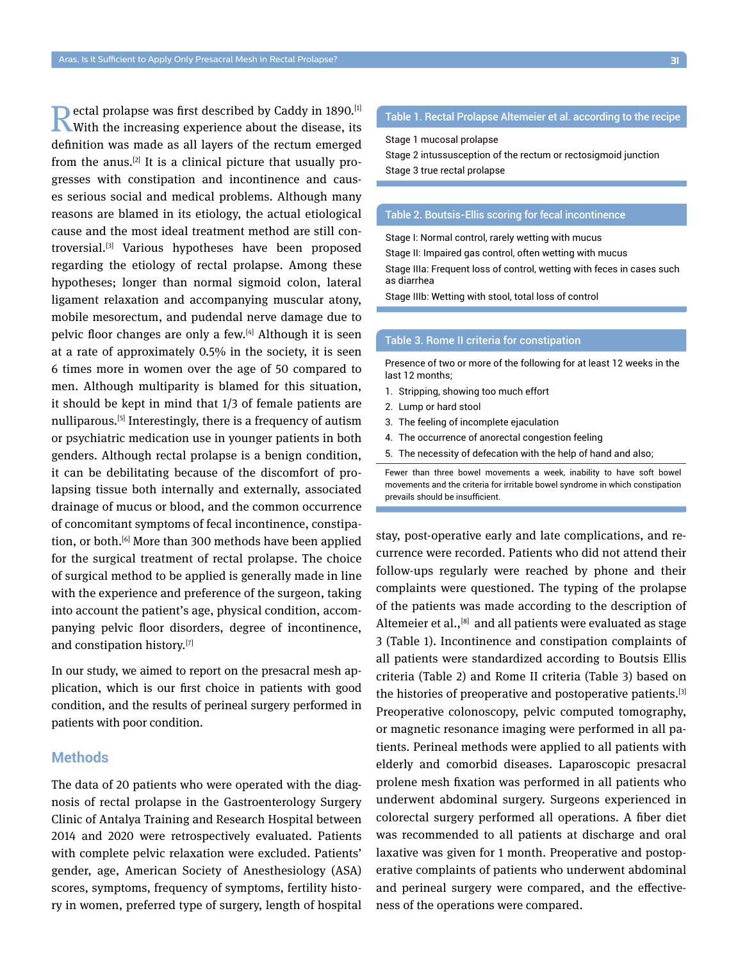Rectal prolapse was first described by Caddy in 1890.<sup>[1]</sup><br>With the increasing experience about the disease, its definition was made as all layers of the rectum emerged from the anus.<sup>[2]</sup> It is a clinical picture that usually progresses with constipation and incontinence and causes serious social and medical problems. Although many reasons are blamed in its etiology, the actual etiological cause and the most ideal treatment method are still controversial.[3] Various hypotheses have been proposed regarding the etiology of rectal prolapse. Among these hypotheses; longer than normal sigmoid colon, lateral ligament relaxation and accompanying muscular atony, mobile mesorectum, and pudendal nerve damage due to pelvic floor changes are only a few.<sup>[4]</sup> Although it is seen at a rate of approximately 0.5% in the society, it is seen 6 times more in women over the age of 50 compared to men. Although multiparity is blamed for this situation, it should be kept in mind that 1/3 of female patients are nulliparous.<sup>[5]</sup> Interestingly, there is a frequency of autism or psychiatric medication use in younger patients in both genders. Although rectal prolapse is a benign condition, it can be debilitating because of the discomfort of prolapsing tissue both internally and externally, associated drainage of mucus or blood, and the common occurrence of concomitant symptoms of fecal incontinence, constipation, or both.[6] More than 300 methods have been applied for the surgical treatment of rectal prolapse. The choice of surgical method to be applied is generally made in line with the experience and preference of the surgeon, taking into account the patient's age, physical condition, accompanying pelvic floor disorders, degree of incontinence, and constipation history.<sup>[7]</sup>

In our study, we aimed to report on the presacral mesh application, which is our first choice in patients with good condition, and the results of perineal surgery performed in patients with poor condition.

# **Methods**

The data of 20 patients who were operated with the diagnosis of rectal prolapse in the Gastroenterology Surgery Clinic of Antalya Training and Research Hospital between 2014 and 2020 were retrospectively evaluated. Patients with complete pelvic relaxation were excluded. Patients' gender, age, American Society of Anesthesiology (ASA) scores, symptoms, frequency of symptoms, fertility history in women, preferred type of surgery, length of hospital

# Table 1. Rectal Prolapse Altemeier et al. according to the recipe

Stage 1 mucosal prolapse

Stage 2 intussusception of the rectum or rectosigmoid junction Stage 3 true rectal prolapse

#### Table 2. Boutsis-Ellis scoring for fecal incontinence

Stage I: Normal control, rarely wetting with mucus

Stage II: Impaired gas control, often wetting with mucus

Stage IIIa: Frequent loss of control, wetting with feces in cases such as diarrhea

Stage IIIb: Wetting with stool, total loss of control

#### Table 3. Rome II criteria for constipation

Presence of two or more of the following for at least 12 weeks in the last 12 months;

- 1. Stripping, showing too much effort
- 2. Lump or hard stool
- 3. The feeling of incomplete ejaculation
- 4. The occurrence of anorectal congestion feeling
- 5. The necessity of defecation with the help of hand and also;

Fewer than three bowel movements a week, inability to have soft bowel movements and the criteria for irritable bowel syndrome in which constipation prevails should be insufficient.

stay, post-operative early and late complications, and recurrence were recorded. Patients who did not attend their follow-ups regularly were reached by phone and their complaints were questioned. The typing of the prolapse of the patients was made according to the description of Altemeier et al.,<sup>[8]</sup> and all patients were evaluated as stage 3 (Table 1). Incontinence and constipation complaints of all patients were standardized according to Boutsis Ellis criteria (Table 2) and Rome II criteria (Table 3) based on the histories of preoperative and postoperative patients.[3] Preoperative colonoscopy, pelvic computed tomography, or magnetic resonance imaging were performed in all patients. Perineal methods were applied to all patients with elderly and comorbid diseases. Laparoscopic presacral prolene mesh fixation was performed in all patients who underwent abdominal surgery. Surgeons experienced in colorectal surgery performed all operations. A fiber diet was recommended to all patients at discharge and oral laxative was given for 1 month. Preoperative and postoperative complaints of patients who underwent abdominal and perineal surgery were compared, and the effectiveness of the operations were compared.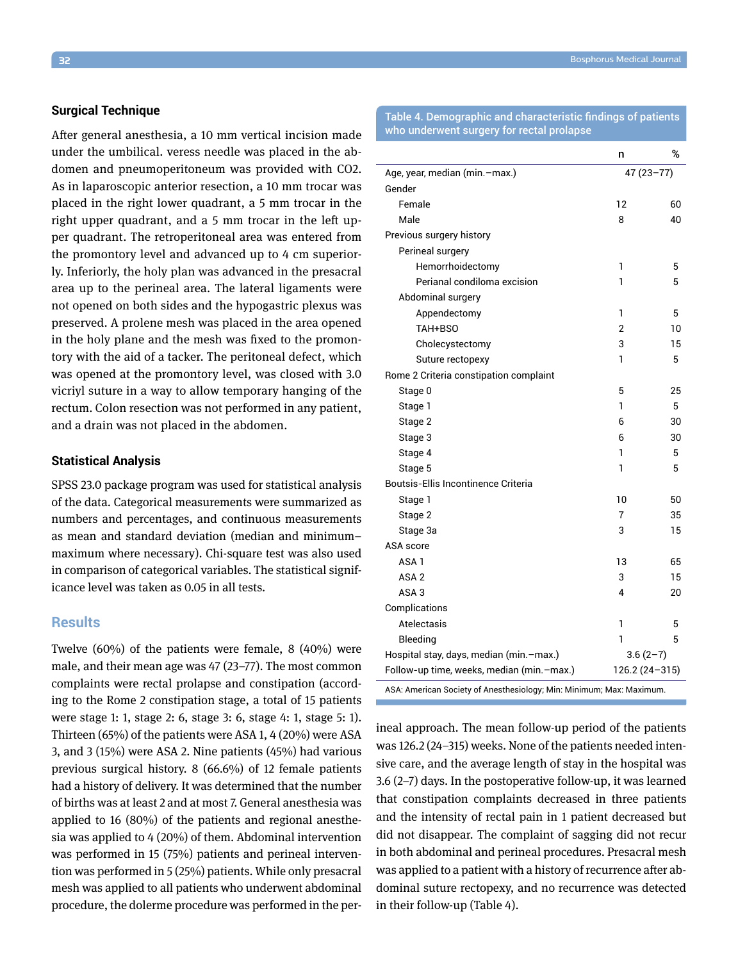#### **Surgical Technique**

After general anesthesia, a 10 mm vertical incision made under the umbilical. veress needle was placed in the abdomen and pneumoperitoneum was provided with CO2. As in laparoscopic anterior resection, a 10 mm trocar was placed in the right lower quadrant, a 5 mm trocar in the right upper quadrant, and a 5 mm trocar in the left upper quadrant. The retroperitoneal area was entered from the promontory level and advanced up to 4 cm superiorly. Inferiorly, the holy plan was advanced in the presacral area up to the perineal area. The lateral ligaments were not opened on both sides and the hypogastric plexus was preserved. A prolene mesh was placed in the area opened in the holy plane and the mesh was fixed to the promontory with the aid of a tacker. The peritoneal defect, which was opened at the promontory level, was closed with 3.0 vicriyl suture in a way to allow temporary hanging of the rectum. Colon resection was not performed in any patient, and a drain was not placed in the abdomen.

#### **Statistical Analysis**

SPSS 23.0 package program was used for statistical analysis of the data. Categorical measurements were summarized as numbers and percentages, and continuous measurements as mean and standard deviation (median and minimum– maximum where necessary). Chi-square test was also used in comparison of categorical variables. The statistical significance level was taken as 0.05 in all tests.

# **Results**

Twelve (60%) of the patients were female, 8 (40%) were male, and their mean age was 47 (23–77). The most common complaints were rectal prolapse and constipation (according to the Rome 2 constipation stage, a total of 15 patients were stage 1: 1, stage 2: 6, stage 3: 6, stage 4: 1, stage 5: 1). Thirteen (65%) of the patients were ASA 1, 4 (20%) were ASA 3, and 3 (15%) were ASA 2. Nine patients (45%) had various previous surgical history. 8 (66.6%) of 12 female patients had a history of delivery. It was determined that the number of births was at least 2 and at most 7. General anesthesia was applied to 16 (80%) of the patients and regional anesthesia was applied to 4 (20%) of them. Abdominal intervention was performed in 15 (75%) patients and perineal intervention was performed in 5 (25%) patients. While only presacral mesh was applied to all patients who underwent abdominal procedure, the dolerme procedure was performed in the perTable 4. Demographic and characteristic findings of patients who underwent surgery for rectal prolapse

|                                                       | n               | %  |
|-------------------------------------------------------|-----------------|----|
| Age, year, median (min.-max.)                         | $47(23 - 77)$   |    |
| Gender                                                |                 |    |
| Female                                                | 12              | 60 |
| Male                                                  | 8               | 40 |
| Previous surgery history                              |                 |    |
| Perineal surgery                                      |                 |    |
| Hemorrhoidectomy                                      | 1               | 5  |
| Perianal condiloma excision                           | 1               | 5  |
| Abdominal surgery                                     |                 |    |
| Appendectomy                                          | 1               | 5  |
| TAH+BSO                                               | 2               | 10 |
| Cholecystectomy                                       | 3               | 15 |
| Suture rectopexy                                      | 1               | 5  |
| Rome 2 Criteria constipation complaint                |                 |    |
| Stage 0                                               | 5               | 25 |
| Stage 1                                               | 1               | 5  |
| Stage 2                                               | 6               | 30 |
| Stage 3                                               | 6               | 30 |
| Stage 4                                               | 1               | 5  |
| Stage 5                                               | 1               | 5  |
| Boutsis-Ellis Incontinence Criteria                   |                 |    |
| Stage 1                                               | 10              | 50 |
| Stage 2                                               | 7               | 35 |
| Stage 3a                                              | 3               | 15 |
| ASA score                                             |                 |    |
| ASA <sub>1</sub>                                      | 13              | 65 |
| ASA <sub>2</sub>                                      | 3               | 15 |
| ASA <sub>3</sub>                                      | 4               | 20 |
| Complications                                         |                 |    |
| Atelectasis                                           | 1               | 5  |
| Bleeding                                              | 1               | 5  |
| $3.6(2-7)$<br>Hospital stay, days, median (min.-max.) |                 |    |
| Follow-up time, weeks, median (min.-max.)             | $126.2(24-315)$ |    |
| and the state<br>$\sim$ $\sim$ $\sim$ $\sim$          |                 |    |

ASA: American Society of Anesthesiology; Min: Minimum; Max: Maximum.

ineal approach. The mean follow-up period of the patients was 126.2 (24–315) weeks. None of the patients needed intensive care, and the average length of stay in the hospital was 3.6 (2–7) days. In the postoperative follow-up, it was learned that constipation complaints decreased in three patients and the intensity of rectal pain in 1 patient decreased but did not disappear. The complaint of sagging did not recur in both abdominal and perineal procedures. Presacral mesh was applied to a patient with a history of recurrence after abdominal suture rectopexy, and no recurrence was detected in their follow-up (Table 4).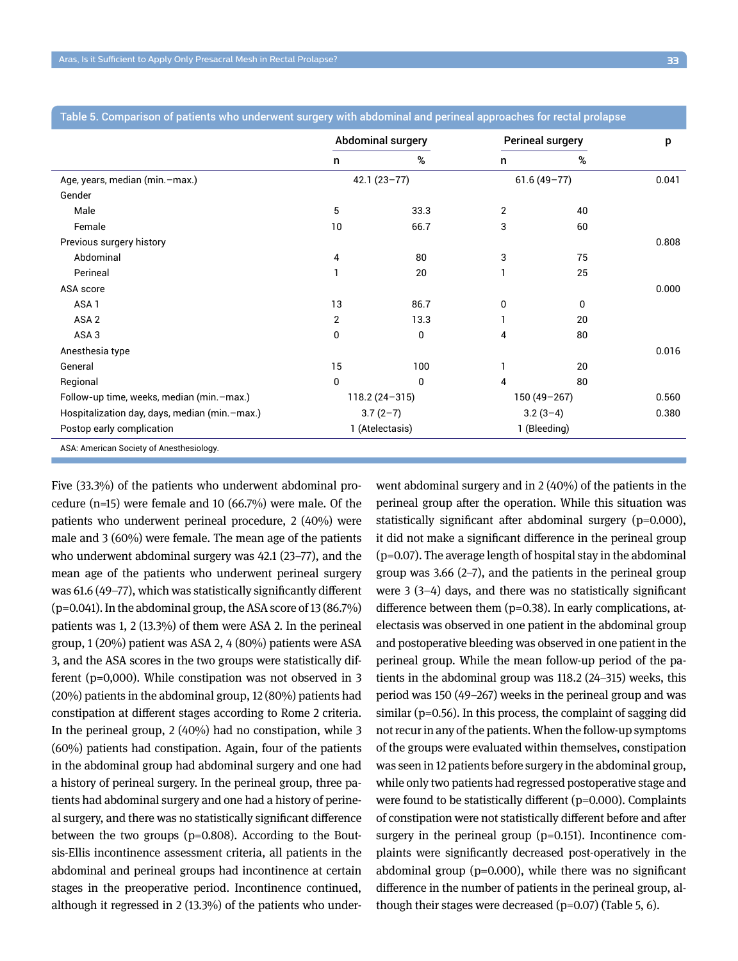|                                               | <b>Abdominal surgery</b> |             | <b>Perineal surgery</b> |      | p     |
|-----------------------------------------------|--------------------------|-------------|-------------------------|------|-------|
|                                               | n                        | %           | n                       | $\%$ |       |
| Age, years, median (min.-max.)                | $42.1(23-77)$            |             | $61.6(49-77)$           |      | 0.041 |
| Gender                                        |                          |             |                         |      |       |
| Male                                          | 5                        | 33.3        | 2                       | 40   |       |
| Female                                        | 10                       | 66.7        | 3                       | 60   |       |
| Previous surgery history                      |                          |             |                         |      | 0.808 |
| Abdominal                                     | 4                        | 80          | 3                       | 75   |       |
| Perineal                                      |                          | 20          |                         | 25   |       |
| ASA score                                     |                          |             |                         |      | 0.000 |
| ASA <sub>1</sub>                              | 13                       | 86.7        | 0                       | 0    |       |
| ASA <sub>2</sub>                              | $\overline{2}$           | 13.3        |                         | 20   |       |
| ASA <sub>3</sub>                              | $\mathbf{0}$             | $\mathbf 0$ | 4                       | 80   |       |
| Anesthesia type                               |                          |             |                         |      | 0.016 |
| General                                       | 15                       | 100         |                         | 20   |       |
| Regional                                      | $\mathbf{0}$             | 0           | 4                       | 80   |       |
| Follow-up time, weeks, median (min.-max.)     | $118.2(24 - 315)$        |             | $150(49 - 267)$         |      | 0.560 |
| Hospitalization day, days, median (min.-max.) | $3.7(2-7)$               |             | $3.2(3-4)$              |      | 0.380 |
| Postop early complication                     | 1 (Atelectasis)          |             | 1 (Bleeding)            |      |       |
| ASA: American Society of Anesthesiology.      |                          |             |                         |      |       |

Table 5. Comparison of patients who underwent surgery with abdominal and perineal approaches for rectal prolapse

Five (33.3%) of the patients who underwent abdominal procedure (n=15) were female and 10 (66.7%) were male. Of the patients who underwent perineal procedure, 2 (40%) were male and 3 (60%) were female. The mean age of the patients who underwent abdominal surgery was 42.1 (23–77), and the mean age of the patients who underwent perineal surgery was 61.6 (49–77), which was statistically significantly different  $(p=0.041)$ . In the abdominal group, the ASA score of 13 (86.7%) patients was 1, 2 (13.3%) of them were ASA 2. In the perineal group, 1 (20%) patient was ASA 2, 4 (80%) patients were ASA 3, and the ASA scores in the two groups were statistically different (p=0,000). While constipation was not observed in 3 (20%) patients in the abdominal group, 12 (80%) patients had constipation at different stages according to Rome 2 criteria. In the perineal group, 2 (40%) had no constipation, while 3 (60%) patients had constipation. Again, four of the patients in the abdominal group had abdominal surgery and one had a history of perineal surgery. In the perineal group, three patients had abdominal surgery and one had a history of perineal surgery, and there was no statistically significant difference between the two groups (p=0.808). According to the Boutsis-Ellis incontinence assessment criteria, all patients in the abdominal and perineal groups had incontinence at certain stages in the preoperative period. Incontinence continued, although it regressed in 2 (13.3%) of the patients who underwent abdominal surgery and in 2 (40%) of the patients in the perineal group after the operation. While this situation was statistically significant after abdominal surgery (p=0.000), it did not make a significant difference in the perineal group (p=0.07). The average length of hospital stay in the abdominal group was 3.66 (2–7), and the patients in the perineal group were 3 (3–4) days, and there was no statistically significant difference between them  $(p=0.38)$ . In early complications, atelectasis was observed in one patient in the abdominal group and postoperative bleeding was observed in one patient in the perineal group. While the mean follow-up period of the patients in the abdominal group was 118.2 (24–315) weeks, this period was 150 (49–267) weeks in the perineal group and was similar (p=0.56). In this process, the complaint of sagging did not recur in any of the patients. When the follow-up symptoms of the groups were evaluated within themselves, constipation was seen in 12 patients before surgery in the abdominal group, while only two patients had regressed postoperative stage and were found to be statistically different (p=0.000). Complaints of constipation were not statistically different before and after surgery in the perineal group (p=0.151). Incontinence complaints were significantly decreased post-operatively in the abdominal group (p=0.000), while there was no significant difference in the number of patients in the perineal group, although their stages were decreased  $(p=0.07)$  (Table 5, 6).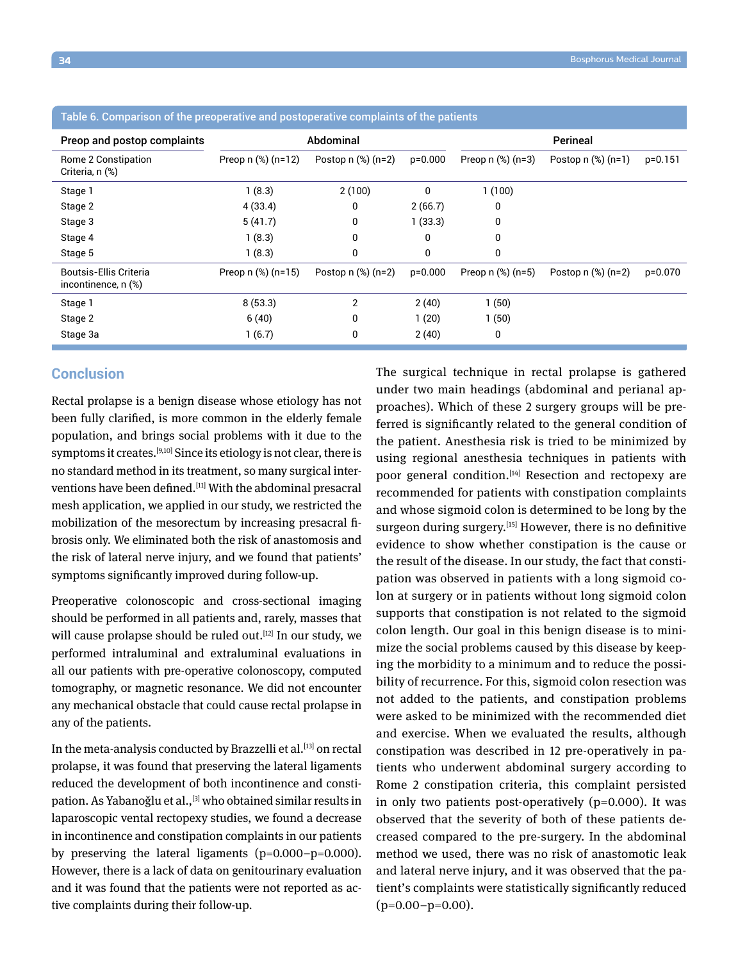| rable 0. Companson or the preoperative and postoperative complaints or the patients |                        |                          |           |                         |                        |           |  |  |
|-------------------------------------------------------------------------------------|------------------------|--------------------------|-----------|-------------------------|------------------------|-----------|--|--|
| Preop and postop complaints                                                         | Abdominal              |                          | Perineal  |                         |                        |           |  |  |
| Rome 2 Constipation<br>Criteria, n (%)                                              | Preop $n$ (%) $(n=12)$ | Postop $n$ (%) ( $n=2$ ) | $p=0.000$ | Preop $n$ (%) ( $n=3$ ) | Postop $n$ $%$ $(n=1)$ | $p=0.151$ |  |  |
| Stage 1                                                                             | 1(8.3)                 | 2(100)                   | 0         | 1(100)                  |                        |           |  |  |
| Stage 2                                                                             | 4(33.4)                | 0                        | 2(66.7)   | 0                       |                        |           |  |  |
| Stage 3                                                                             | 5(41.7)                | 0                        | 1(33.3)   | 0                       |                        |           |  |  |
| Stage 4                                                                             | 1(8.3)                 | 0                        | 0         | 0                       |                        |           |  |  |
| Stage 5                                                                             | 1(8.3)                 | 0                        | 0         | 0                       |                        |           |  |  |
| <b>Boutsis-Ellis Criteria</b><br>incontinence, n (%)                                | Preop $n$ $%$ $(n=15)$ | Postop $n$ $%$ $(n=2)$   | $p=0.000$ | Preop $n$ $%$ $(n=5)$   | Postop $n$ $%$ $(n=2)$ | $p=0.070$ |  |  |
| Stage 1                                                                             | 8(53.3)                | $\overline{2}$           | 2(40)     | 1(50)                   |                        |           |  |  |
| Stage 2                                                                             | 6(40)                  | 0                        | 1(20)     | 1(50)                   |                        |           |  |  |
| Stage 3a                                                                            | 1(6.7)                 | 0                        | 2(40)     | 0                       |                        |           |  |  |

#### Table 6. Comparison of the preoperative and postoperative complaints of the patients

# **Conclusion**

Rectal prolapse is a benign disease whose etiology has not been fully clarified, is more common in the elderly female population, and brings social problems with it due to the symptoms it creates.<sup>[9,10]</sup> Since its etiology is not clear, there is no standard method in its treatment, so many surgical interventions have been defined.<sup>[11]</sup> With the abdominal presacral mesh application, we applied in our study, we restricted the mobilization of the mesorectum by increasing presacral fibrosis only. We eliminated both the risk of anastomosis and the risk of lateral nerve injury, and we found that patients' symptoms significantly improved during follow-up.

Preoperative colonoscopic and cross-sectional imaging should be performed in all patients and, rarely, masses that will cause prolapse should be ruled out.<sup>[12]</sup> In our study, we performed intraluminal and extraluminal evaluations in all our patients with pre-operative colonoscopy, computed tomography, or magnetic resonance. We did not encounter any mechanical obstacle that could cause rectal prolapse in any of the patients.

In the meta-analysis conducted by Brazzelli et al.<sup>[13]</sup> on rectal prolapse, it was found that preserving the lateral ligaments reduced the development of both incontinence and constipation. As Yabanoğlu et al.,<sup>[3]</sup> who obtained similar results in laparoscopic vental rectopexy studies, we found a decrease in incontinence and constipation complaints in our patients by preserving the lateral ligaments (p=0.000–p=0.000). However, there is a lack of data on genitourinary evaluation and it was found that the patients were not reported as active complaints during their follow-up.

The surgical technique in rectal prolapse is gathered under two main headings (abdominal and perianal approaches). Which of these 2 surgery groups will be preferred is significantly related to the general condition of the patient. Anesthesia risk is tried to be minimized by using regional anesthesia techniques in patients with poor general condition.<sup>[14]</sup> Resection and rectopexy are recommended for patients with constipation complaints and whose sigmoid colon is determined to be long by the surgeon during surgery.<sup>[15]</sup> However, there is no definitive evidence to show whether constipation is the cause or the result of the disease. In our study, the fact that constipation was observed in patients with a long sigmoid colon at surgery or in patients without long sigmoid colon supports that constipation is not related to the sigmoid colon length. Our goal in this benign disease is to minimize the social problems caused by this disease by keeping the morbidity to a minimum and to reduce the possibility of recurrence. For this, sigmoid colon resection was not added to the patients, and constipation problems were asked to be minimized with the recommended diet and exercise. When we evaluated the results, although constipation was described in 12 pre-operatively in patients who underwent abdominal surgery according to Rome 2 constipation criteria, this complaint persisted in only two patients post-operatively (p=0.000). It was observed that the severity of both of these patients decreased compared to the pre-surgery. In the abdominal method we used, there was no risk of anastomotic leak and lateral nerve injury, and it was observed that the patient's complaints were statistically significantly reduced  $(p=0.00-p=0.00)$ .